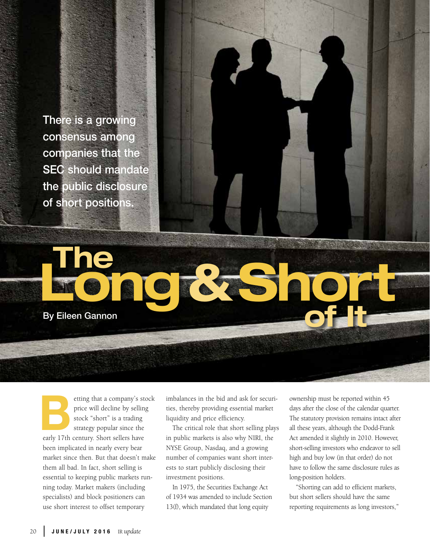There is a growing consensus among companies that the SEC should mandate the public disclosure of short positions.

Long

By Eileen Gannon

etting that a company's stock price will decline by selling stock "short" is a trading strategy popular since the early 17th century. Short sellers have been implicated in nearly every bear market since then. But that doesn't make them all bad. In fact, short selling is essential to keeping public markets running today. Market makers (including specialists) and block positioners can use short interest to offset temporary External de la Carly 17th

imbalances in the bid and ask for securities, thereby providing essential market liquidity and price efficiency.

The Resident

The critical role that short selling plays in public markets is also why NIRI, the NYSE Group, Nasdaq, and a growing number of companies want short interests to start publicly disclosing their investment positions.

In 1975, the Securities Exchange Act of 1934 was amended to include Section 13(f), which mandated that long equity

ownership must be reported within 45 days after the close of the calendar quarter. The statutory provision remains intact after all these years, although the Dodd-Frank Act amended it slightly in 2010. However, short-selling investors who endeavor to sell high and buy low (in that order) do not have to follow the same disclosure rules as long-position holders.

**of It** 

"Shorting can add to efficient markets, but short sellers should have the same reporting requirements as long investors,"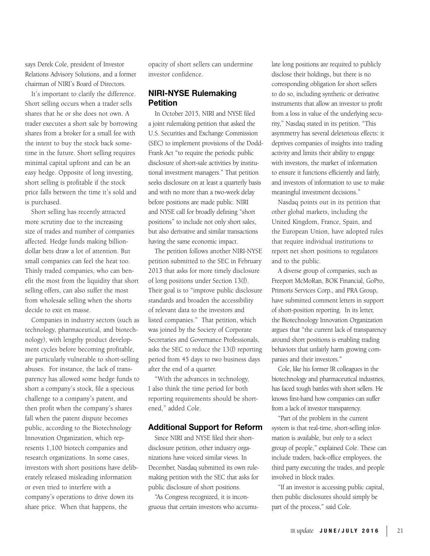says Derek Cole, president of Investor Relations Advisory Solutions, and a former chairman of NIRI's Board of Directors.

It's important to clarify the difference. Short selling occurs when a trader sells shares that he or she does not own. A trader executes a short sale by borrowing shares from a broker for a small fee with the intent to buy the stock back sometime in the future. Short selling requires minimal capital upfront and can be an easy hedge. Opposite of long investing, short selling is profitable if the stock price falls between the time it's sold and is purchased.

Short selling has recently attracted more scrutiny due to the increasing size of trades and number of companies affected. Hedge funds making billiondollar bets draw a lot of attention. But small companies can feel the heat too. Thinly traded companies, who can benefit the most from the liquidity that short selling offers, can also suffer the most from wholesale selling when the shorts decide to exit en masse.

Companies in industry sectors (such as technology, pharmaceutical, and biotechnology), with lengthy product development cycles before becoming profitable, are particularly vulnerable to short-selling abuses. For instance, the lack of transparency has allowed some hedge funds to short a company's stock, file a specious challenge to a company's patent, and then profit when the company's shares fall when the patent dispute becomes public, according to the Biotechnology Innovation Organization, which represents 1,100 biotech companies and research organizations. In some cases, investors with short positions have deliberately released misleading information or even tried to interfere with a company's operations to drive down its share price. When that happens, the

opacity of short sellers can undermine investor confidence.

## NIRI-NYSE Rulemaking Petition

In October 2015, NIRI and NYSE filed a joint rulemaking petition that asked the U.S. Securities and Exchange Commission (SEC) to implement provisions of the Dodd-Frank Act "to require the periodic public disclosure of short-sale activities by institutional investment managers." That petition seeks disclosure on at least a quarterly basis and with no more than a two-week delay before positions are made public. NIRI and NYSE call for broadly defining "short positions" to include not only short sales, but also derivative and similar transactions having the same economic impact.

The petition follows another NIRI-NYSE petition submitted to the SEC in February 2013 that asks for more timely disclosure of long positions under Section 13(f). Their goal is to "improve public disclosure standards and broaden the accessibility of relevant data to the investors and listed companies." That petition, which was joined by the Society of Corporate Secretaries and Governance Professionals, asks the SEC to reduce the 13(f) reporting period from 45 days to two business days after the end of a quarter.

"With the advances in technology, I also think the time period for both reporting requirements should be shortened," added Cole.

### Additional Support for Reform

Since NIRI and NYSE filed their shortdisclosure petition, other industry organizations have voiced similar views. In December, Nasdaq submitted its own rulemaking petition with the SEC that asks for public disclosure of short positions.

"As Congress recognized, it is incongruous that certain investors who accumulate long positions are required to publicly disclose their holdings, but there is no corresponding obligation for short sellers to do so, including synthetic or derivative instruments that allow an investor to profit from a loss in value of the underlying security," Nasdaq stated in its petition. "This asymmetry has several deleterious effects: it deprives companies of insights into trading activity and limits their ability to engage with investors, the market of information to ensure it functions efficiently and fairly, and investors of information to use to make meaningful investment decisions."

Nasdaq points out in its petition that other global markets, including the United Kingdom, France, Spain, and the European Union, have adopted rules that require individual institutions to report net short positions to regulators and to the public.

A diverse group of companies, such as Freeport McMoRan, BOK Financial, GoPro, Primoris Services Corp., and PRA Group, have submitted comment letters in support of short-position reporting. In its letter, the Biotechnology Innovation Organization argues that "the current lack of transparency around short positions is enabling trading behaviors that unfairly harm growing companies and their investors."

Cole, like his former IR colleagues in the biotechnology and pharmaceutical industries, has faced tough battles with short sellers. He knows first-hand how companies can suffer from a lack of investor transparency.

"Part of the problem in the current system is that real-time, short-selling information is available, but only to a select group of people," explained Cole. These can include traders, back-office employees, the third party executing the trades, and people involved in block trades.

"If an investor is accessing public capital, then public disclosures should simply be part of the process," said Cole.